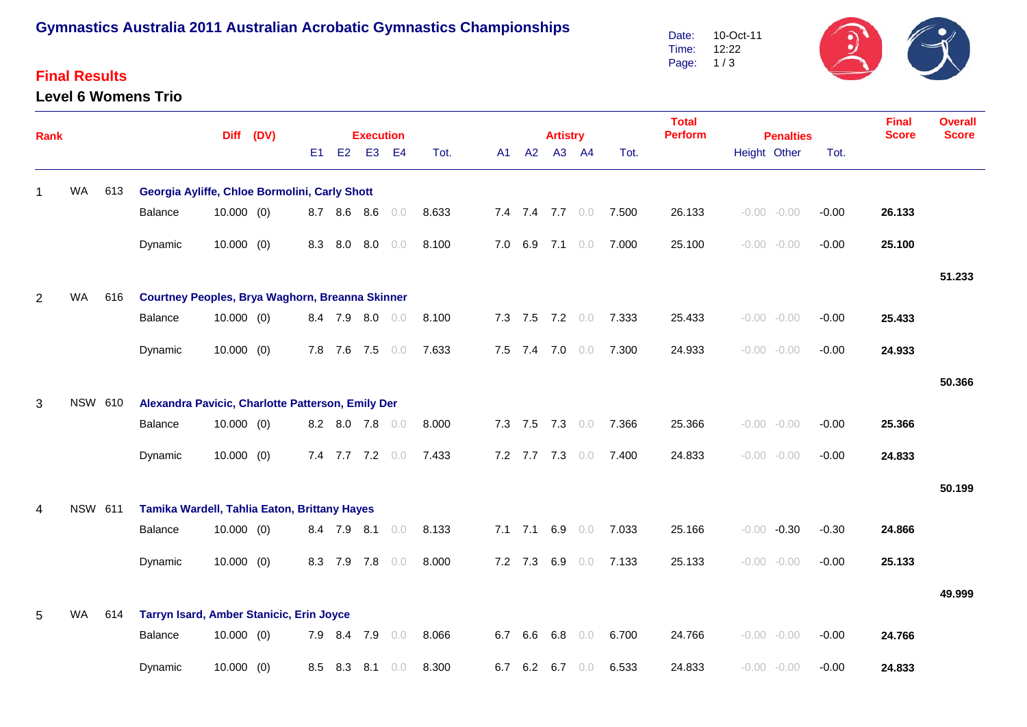## **Gymnastics Australia 2011 Australian Acrobatic Gymnastics Championships**

### **Final Results**

#### **Level 6 Womens Trio**

 $\frac{1}{2}G$ 10-Oct-11 Date: Time: 12:22 Page: 1 / 3

| <b>Rank</b>  |                |                                                                |                                                   |              | Diff (DV) |     |                 | <b>Execution</b> |                |       |    |             | <b>Artistry</b> |                 |       | <b>Total</b><br><b>Perform</b> |  | <b>Penalties</b> |         | <b>Final</b><br><b>Score</b> | <b>Overall</b><br><b>Score</b> |
|--------------|----------------|----------------------------------------------------------------|---------------------------------------------------|--------------|-----------|-----|-----------------|------------------|----------------|-------|----|-------------|-----------------|-----------------|-------|--------------------------------|--|------------------|---------|------------------------------|--------------------------------|
|              |                |                                                                |                                                   |              |           | E1  | <b>E2</b>       | E <sub>3</sub>   | E <sub>4</sub> | Tot.  | A1 | A2          |                 | A3 A4           | Tot.  |                                |  | Height Other     | Tot.    |                              |                                |
|              | <b>WA</b>      | 613                                                            | Georgia Ayliffe, Chloe Bormolini, Carly Shott     |              |           |     |                 |                  |                |       |    |             |                 |                 |       |                                |  |                  |         |                              |                                |
|              |                |                                                                | Balance                                           | $10.000$ (0) |           |     | 8.7 8.6 8.6     |                  | 0.0            | 8.633 |    |             |                 | 7.4 7.4 7.7 0.0 | 7.500 | 26.133                         |  | $-0.00 - 0.00$   | $-0.00$ | 26.133                       |                                |
|              |                |                                                                | Dynamic                                           | $10.000$ (0) |           | 8.3 |                 | 8.0 8.0          | 0.0            | 8.100 |    |             | 7.0 6.9 7.1 0.0 |                 | 7.000 | 25.100                         |  | $-0.00 - 0.00$   | $-0.00$ | 25.100                       |                                |
|              |                |                                                                |                                                   |              |           |     |                 |                  |                |       |    |             |                 |                 |       |                                |  |                  |         |                              | 51.233                         |
| 2            | <b>WA</b>      | 616                                                            | Courtney Peoples, Brya Waghorn, Breanna Skinner   |              |           |     |                 |                  |                |       |    |             |                 |                 |       |                                |  |                  |         |                              |                                |
|              |                |                                                                | Balance                                           | $10.000$ (0) |           |     | 8.4 7.9 8.0 0.0 |                  |                | 8.100 |    |             | 7.3 7.5 7.2 0.0 |                 | 7.333 | 25.433                         |  | $-0.00 - 0.00$   | $-0.00$ | 25.433                       |                                |
|              |                |                                                                | Dynamic                                           | $10.000$ (0) |           |     | 7.8 7.6 7.5     |                  | 0.0            | 7.633 |    |             | 7.5 7.4 7.0 0.0 |                 | 7.300 | 24.933                         |  | $-0.00 - 0.00$   | $-0.00$ | 24.933                       |                                |
|              |                |                                                                |                                                   |              |           |     |                 |                  |                |       |    |             |                 |                 |       |                                |  |                  |         |                              | 50.366                         |
| $\mathbf{3}$ | <b>NSW 610</b> |                                                                | Alexandra Pavicic, Charlotte Patterson, Emily Der |              |           |     |                 |                  |                |       |    |             |                 |                 |       |                                |  |                  |         |                              |                                |
|              |                |                                                                | Balance                                           | $10.000$ (0) |           |     | 8.2 8.0 7.8 0.0 |                  |                | 8.000 |    |             | 7.3 7.5 7.3 0.0 |                 | 7.366 | 25.366                         |  | $-0.00 - 0.00$   | $-0.00$ | 25.366                       |                                |
|              |                |                                                                | Dynamic                                           | $10.000$ (0) |           |     | 7.4 7.7 7.2 0.0 |                  |                | 7.433 |    |             | 7.2 7.7 7.3 0.0 |                 | 7.400 | 24.833                         |  | $-0.00 - 0.00$   | $-0.00$ | 24.833                       |                                |
|              |                |                                                                |                                                   |              |           |     |                 |                  |                |       |    |             |                 |                 |       |                                |  |                  |         |                              | 50.199                         |
| 4            |                | <b>NSW 611</b><br>Tamika Wardell, Tahlia Eaton, Brittany Hayes |                                                   |              |           |     |                 |                  |                |       |    |             |                 |                 |       |                                |  |                  |         |                              |                                |
|              |                |                                                                | Balance                                           | $10.000$ (0) |           |     | 8.4 7.9 8.1 0.0 |                  |                | 8.133 |    |             | 7.1 7.1 6.9 0.0 |                 | 7.033 | 25.166                         |  | $-0.00 -0.30$    | $-0.30$ | 24.866                       |                                |
|              |                |                                                                | Dynamic                                           | $10.000$ (0) |           | 8.3 | 7.9             | 7.8              | 0.0            | 8.000 |    | $7.2$ $7.3$ | 6.9             | 0.0             | 7.133 | 25.133                         |  | $-0.00 - 0.00$   | $-0.00$ | 25.133                       |                                |
|              |                |                                                                |                                                   |              |           |     |                 |                  |                |       |    |             |                 |                 |       |                                |  |                  |         |                              | 49.999                         |
| 5            | <b>WA</b>      | 614                                                            | Tarryn Isard, Amber Stanicic, Erin Joyce          |              |           |     |                 |                  |                |       |    |             |                 |                 |       |                                |  |                  |         |                              |                                |
|              |                |                                                                | Balance                                           | $10.000$ (0) |           |     | 7.9 8.4 7.9     |                  | 0.0            | 8.066 |    | 6.7 6.6     | 6.8             | 0.0             | 6.700 | 24.766                         |  | $-0.00 - 0.00$   | $-0.00$ | 24.766                       |                                |
|              |                |                                                                | Dynamic                                           | $10.000$ (0) |           | 8.5 | 8.3             | 8.1              | 0.0            | 8.300 |    | 6.7 6.2     | 6.7             | $0.0$           | 6.533 | 24.833                         |  | $-0.00 - 0.00$   | $-0.00$ | 24.833                       |                                |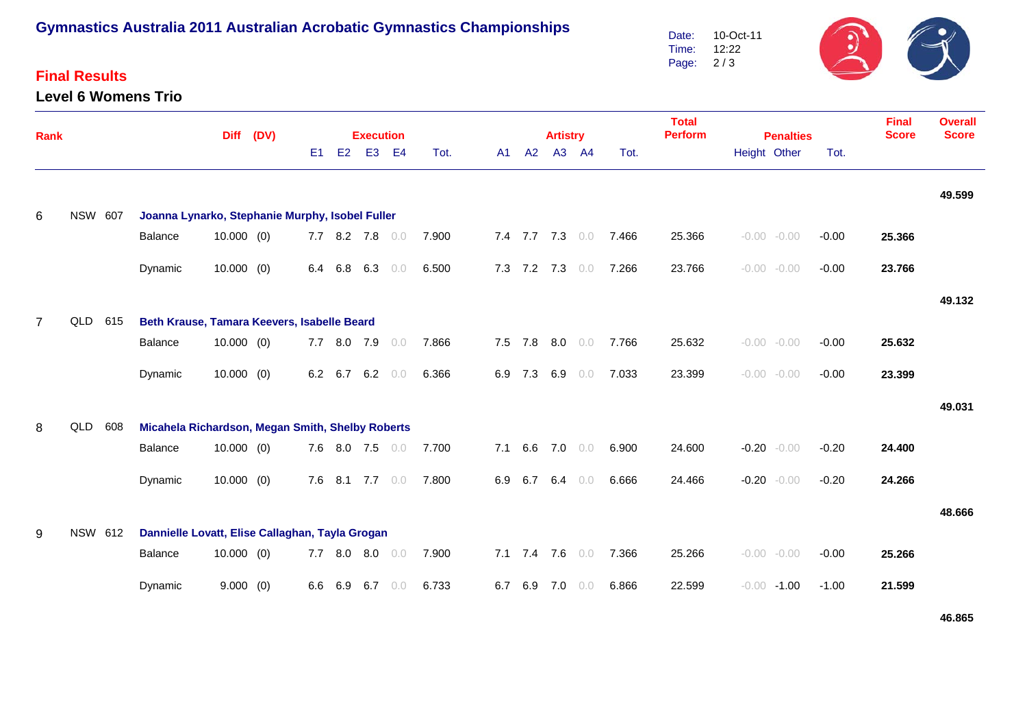# **Gymnastics Australia 2011 Australian Acrobatic Gymnastics Championships**

### **Final Results**

#### **Level 6 Womens Trio**



| <b>Rank</b>    |                |     |                                                             | (DV)                                            |  |     | <b>Execution</b> |                 |                |       |     | <b>Artistry</b> |     |                | <b>Total</b><br><b>Perform</b> | <b>Penalties</b> | <b>Final</b><br><b>Score</b> | <b>Overall</b><br><b>Score</b> |         |        |        |
|----------------|----------------|-----|-------------------------------------------------------------|-------------------------------------------------|--|-----|------------------|-----------------|----------------|-------|-----|-----------------|-----|----------------|--------------------------------|------------------|------------------------------|--------------------------------|---------|--------|--------|
|                |                |     | <b>Diff</b>                                                 |                                                 |  | E1  | E2               | E <sub>3</sub>  | E <sub>4</sub> | Tot.  | A1  | A2              | A3  | <b>A4</b>      | Tot.                           |                  | Height Other                 |                                | Tot.    |        |        |
|                |                |     |                                                             |                                                 |  |     |                  |                 |                |       |     |                 |     |                |                                |                  |                              |                                |         |        | 49.599 |
| 6              | <b>NSW 607</b> |     | Joanna Lynarko, Stephanie Murphy, Isobel Fuller<br>Balance  | 10.000(0)                                       |  |     |                  | 7.7 8.2 7.8 0.0 |                | 7.900 |     |                 |     |                | 7.4 7.7 7.3 0.0 7.466          | 25.366           |                              | $-0.00 - 0.00$                 | $-0.00$ | 25.366 |        |
|                |                |     | Dynamic                                                     | $10.000$ (0)                                    |  |     | 6.4 6.8          | 6.3             | 0.0            | 6.500 |     | 7.3 7.2 7.3 0.0 |     |                | 7.266                          | 23.766           |                              | $-0.00 - 0.00$                 | $-0.00$ | 23.766 |        |
|                |                |     |                                                             |                                                 |  |     |                  |                 |                |       |     |                 |     |                |                                |                  |                              |                                |         |        | 49.132 |
| $\overline{7}$ | QLD            | 615 | Beth Krause, Tamara Keevers, Isabelle Beard<br>Balance      | $10.000$ (0)                                    |  |     |                  | 7.7 8.0 7.9     | 0.0            | 7.866 |     | 7.5 7.8 8.0 0.0 |     |                | 7.766                          | 25.632           |                              | $-0.00 - 0.00$                 | $-0.00$ | 25.632 |        |
|                |                |     | Dynamic                                                     | $10.000$ (0)                                    |  |     |                  | 6.2 6.7 6.2     | 0.0            | 6.366 |     | 6.9 7.3         |     | $6.9\quad 0.0$ | 7.033                          | 23.399           |                              | $-0.00 - 0.00$                 | $-0.00$ | 23.399 |        |
|                |                |     |                                                             |                                                 |  |     |                  |                 |                |       |     |                 |     |                |                                |                  |                              |                                |         |        | 49.031 |
| 8              | QLD            | 608 | Micahela Richardson, Megan Smith, Shelby Roberts<br>Balance | $10.000$ (0)                                    |  |     |                  | 7.6 8.0 7.5 0.0 |                | 7.700 | 7.1 | 6.6             |     | 7.0 0.0        | 6.900                          | 24.600           |                              | $-0.20 - 0.00$                 | $-0.20$ | 24.400 |        |
|                |                |     | Dynamic                                                     | $10.000$ (0)                                    |  |     |                  | 7.6 8.1 7.7 0.0 |                | 7.800 |     | 6.9 6.7         |     | $6.4\quad 0.0$ | 6.666                          | 24.466           |                              | $-0.20 - 0.00$                 | $-0.20$ | 24.266 |        |
|                |                |     |                                                             |                                                 |  |     |                  |                 |                |       |     |                 |     |                |                                |                  |                              |                                |         |        | 48.666 |
| 9              | NSW 612        |     |                                                             | Dannielle Lovatt, Elise Callaghan, Tayla Grogan |  |     |                  |                 |                |       |     |                 |     |                |                                |                  |                              |                                |         |        |        |
|                |                |     | Balance                                                     | $10.000$ (0)                                    |  | 7.7 | 8.0              | 8.0             | 0.0            | 7.900 |     | 7.1 7.4 7.6 0.0 |     |                | 7.366                          | 25.266           |                              | $-0.00 - 0.00$                 | $-0.00$ | 25.266 |        |
|                |                |     | Dynamic                                                     | 9.000(0)                                        |  | 6.6 | 6.9              | 6.7             | 0.0            | 6.733 | 6.7 | 6.9             | 7.0 | 0.0            | 6.866                          | 22.599           |                              | $-0.00 - 1.00$                 | $-1.00$ | 21.599 |        |

**46.865**